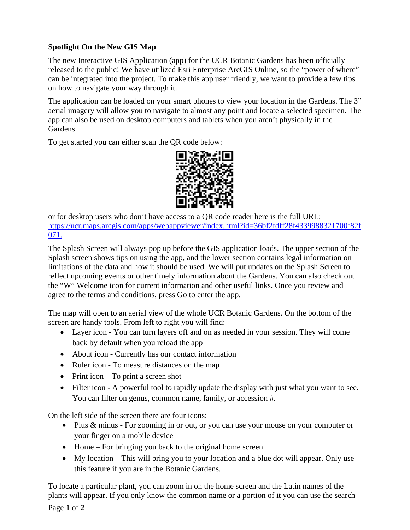## **Spotlight On the New GIS Map**

The new Interactive GIS Application (app) for the UCR Botanic Gardens has been officially released to the public! We have utilized Esri Enterprise ArcGIS Online, so the "power of where" can be integrated into the project. To make this app user friendly, we want to provide a few tips on how to navigate your way through it.

The application can be loaded on your smart phones to view your location in the Gardens. The 3" aerial imagery will allow you to navigate to almost any point and locate a selected specimen. The app can also be used on desktop computers and tablets when you aren't physically in the Gardens.

To get started you can either scan the QR code below:



or for desktop users who don't have access to a QR code reader here is the full URL: [https://ucr.maps.arcgis.com/apps/webappviewer/index.html?id=36bf2fdff28f4339988321700f82f](https://ucr.maps.arcgis.com/apps/webappviewer/index.html?id=36bf2fdff28f4339988321700f82f071) [071.](https://ucr.maps.arcgis.com/apps/webappviewer/index.html?id=36bf2fdff28f4339988321700f82f071)

The Splash Screen will always pop up before the GIS application loads. The upper section of the Splash screen shows tips on using the app, and the lower section contains legal information on limitations of the data and how it should be used. We will put updates on the Splash Screen to reflect upcoming events or other timely information about the Gardens. You can also check out the "W" Welcome icon for current information and other useful links. Once you review and agree to the terms and conditions, press Go to enter the app.

The map will open to an aerial view of the whole UCR Botanic Gardens. On the bottom of the screen are handy tools. From left to right you will find:

- Layer icon You can turn layers off and on as needed in your session. They will come back by default when you reload the app
- About icon Currently has our contact information
- Ruler icon To measure distances on the map
- Print icon To print a screen shot
- Filter icon A powerful tool to rapidly update the display with just what you want to see. You can filter on genus, common name, family, or accession #.

On the left side of the screen there are four icons:

- Plus & minus For zooming in or out, or you can use your mouse on your computer or your finger on a mobile device
- Home For bringing you back to the original home screen
- My location This will bring you to your location and a blue dot will appear. Only use this feature if you are in the Botanic Gardens.

To locate a particular plant, you can zoom in on the home screen and the Latin names of the plants will appear. If you only know the common name or a portion of it you can use the search